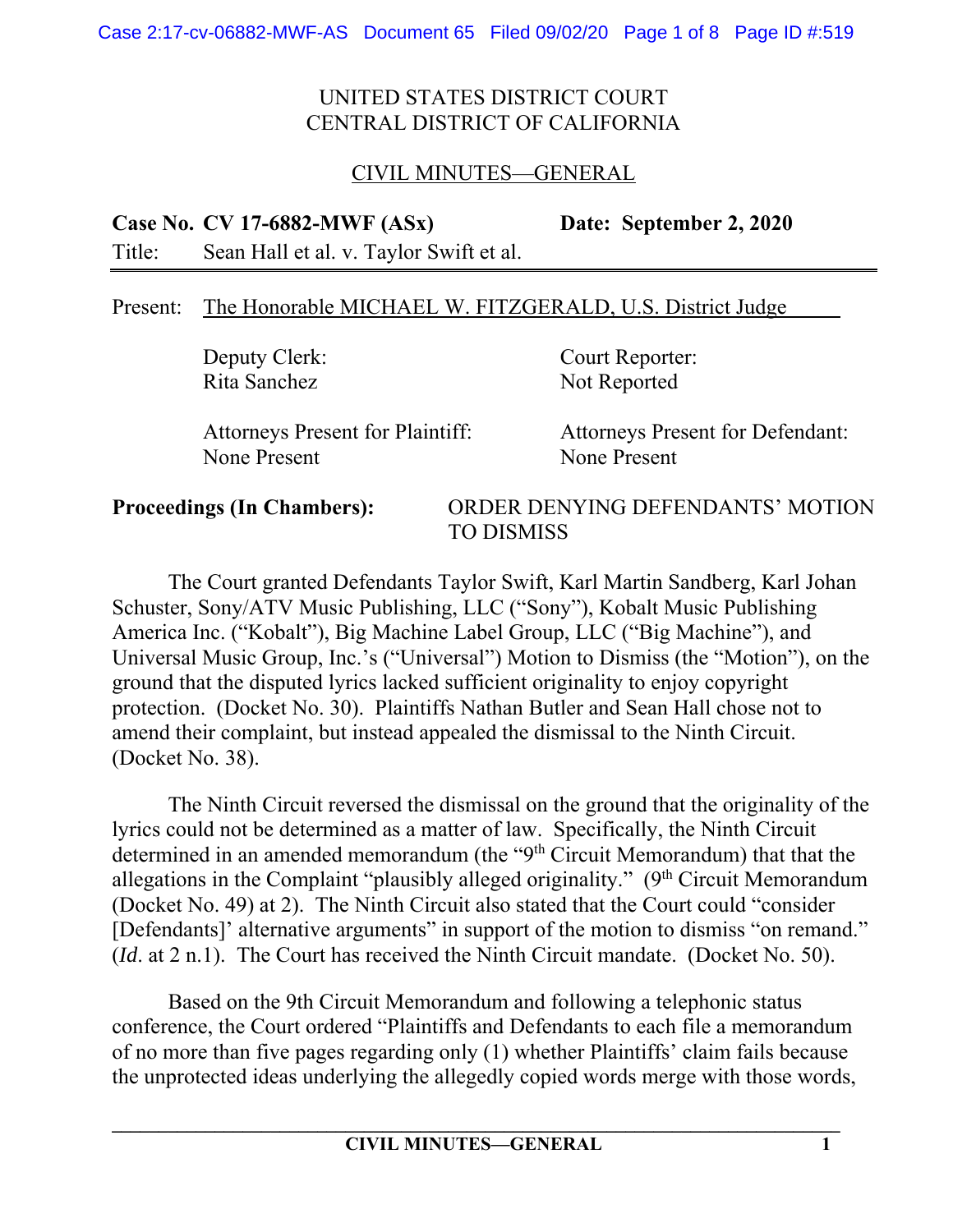# CIVIL MINUTES—GENERAL

**Case No. CV 17-6882-MWF (ASx) Date: September 2, 2020** 

Title: Sean Hall et al. v. Taylor Swift et al.

### Present: The Honorable MICHAEL W. FITZGERALD, U.S. District Judge

Rita Sanchez Not Reported

Deputy Clerk: Court Reporter:

None Present None Present

Attorneys Present for Plaintiff: Attorneys Present for Defendant:

#### **Proceedings (In Chambers):** ORDER DENYING DEFENDANTS' MOTION TO DISMISS

The Court granted Defendants Taylor Swift, Karl Martin Sandberg, Karl Johan Schuster, Sony/ATV Music Publishing, LLC ("Sony"), Kobalt Music Publishing America Inc. ("Kobalt"), Big Machine Label Group, LLC ("Big Machine"), and Universal Music Group, Inc.'s ("Universal") Motion to Dismiss (the "Motion"), on the ground that the disputed lyrics lacked sufficient originality to enjoy copyright protection. (Docket No. 30). Plaintiffs Nathan Butler and Sean Hall chose not to amend their complaint, but instead appealed the dismissal to the Ninth Circuit. (Docket No. 38).

The Ninth Circuit reversed the dismissal on the ground that the originality of the lyrics could not be determined as a matter of law. Specifically, the Ninth Circuit determined in an amended memorandum (the "9th Circuit Memorandum) that that the allegations in the Complaint "plausibly alleged originality."  $(9<sup>th</sup> Circuit Memorandum)$ (Docket No. 49) at 2). The Ninth Circuit also stated that the Court could "consider [Defendants]' alternative arguments" in support of the motion to dismiss "on remand." (*Id*. at 2 n.1). The Court has received the Ninth Circuit mandate. (Docket No. 50).

Based on the 9th Circuit Memorandum and following a telephonic status conference, the Court ordered "Plaintiffs and Defendants to each file a memorandum of no more than five pages regarding only (1) whether Plaintiffs' claim fails because the unprotected ideas underlying the allegedly copied words merge with those words,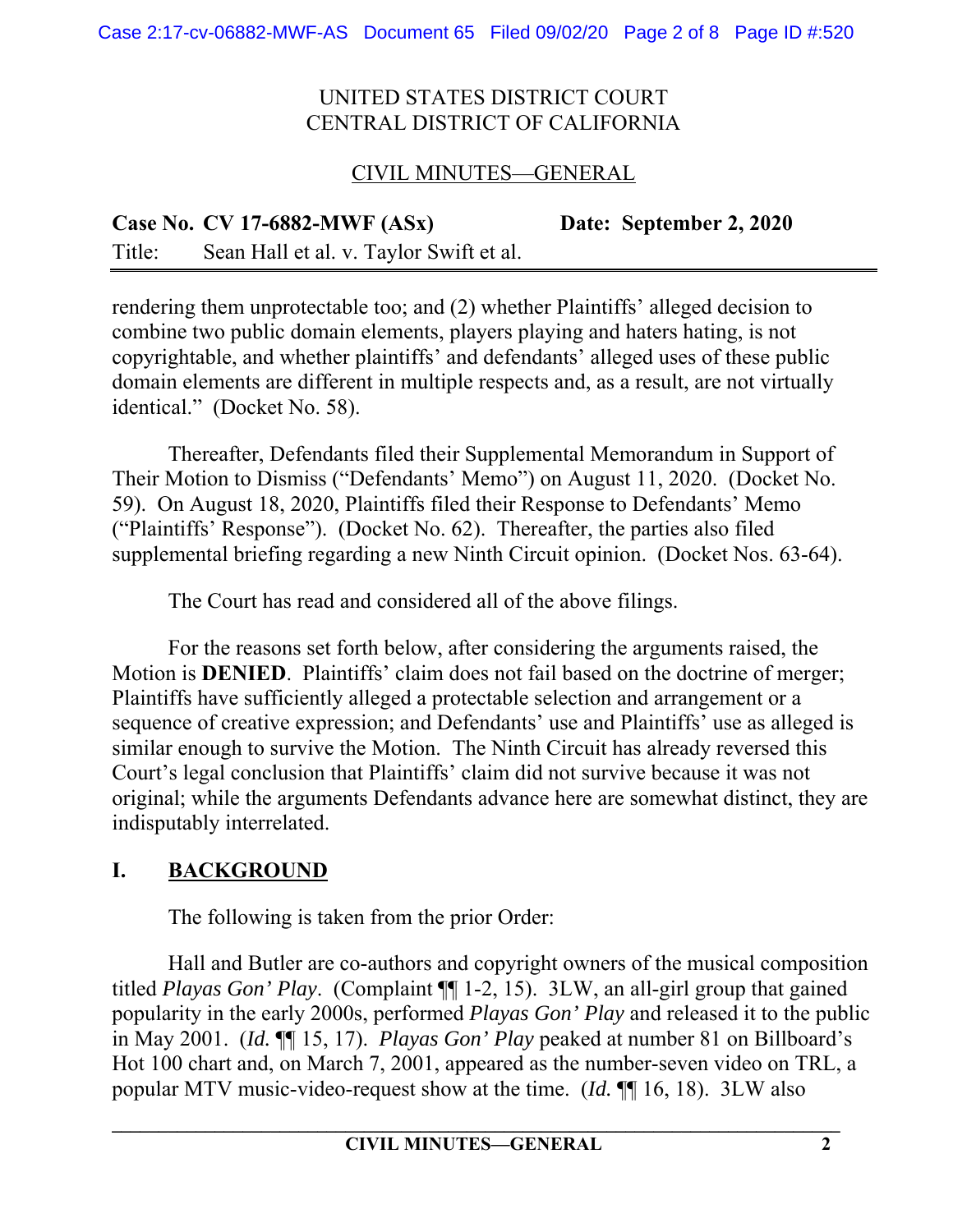### CIVIL MINUTES—GENERAL

|        | Case No. CV 17-6882-MWF (ASx)           | Date: September 2, 2020 |
|--------|-----------------------------------------|-------------------------|
| Title: | Sean Hall et al. v. Taylor Swift et al. |                         |

rendering them unprotectable too; and (2) whether Plaintiffs' alleged decision to combine two public domain elements, players playing and haters hating, is not copyrightable, and whether plaintiffs' and defendants' alleged uses of these public domain elements are different in multiple respects and, as a result, are not virtually identical." (Docket No. 58).

Thereafter, Defendants filed their Supplemental Memorandum in Support of Their Motion to Dismiss ("Defendants' Memo") on August 11, 2020. (Docket No. 59). On August 18, 2020, Plaintiffs filed their Response to Defendants' Memo ("Plaintiffs' Response"). (Docket No. 62). Thereafter, the parties also filed supplemental briefing regarding a new Ninth Circuit opinion. (Docket Nos. 63-64).

The Court has read and considered all of the above filings.

For the reasons set forth below, after considering the arguments raised, the Motion is **DENIED**. Plaintiffs' claim does not fail based on the doctrine of merger; Plaintiffs have sufficiently alleged a protectable selection and arrangement or a sequence of creative expression; and Defendants' use and Plaintiffs' use as alleged is similar enough to survive the Motion. The Ninth Circuit has already reversed this Court's legal conclusion that Plaintiffs' claim did not survive because it was not original; while the arguments Defendants advance here are somewhat distinct, they are indisputably interrelated.

# **I. BACKGROUND**

The following is taken from the prior Order:

Hall and Butler are co-authors and copyright owners of the musical composition titled *Playas Gon' Play*. (Complaint ¶¶ 1-2, 15). 3LW, an all-girl group that gained popularity in the early 2000s, performed *Playas Gon' Play* and released it to the public in May 2001. (*Id.* ¶¶ 15, 17). *Playas Gon' Play* peaked at number 81 on Billboard's Hot 100 chart and, on March 7, 2001, appeared as the number-seven video on TRL, a popular MTV music-video-request show at the time. (*Id.* ¶¶ 16, 18). 3LW also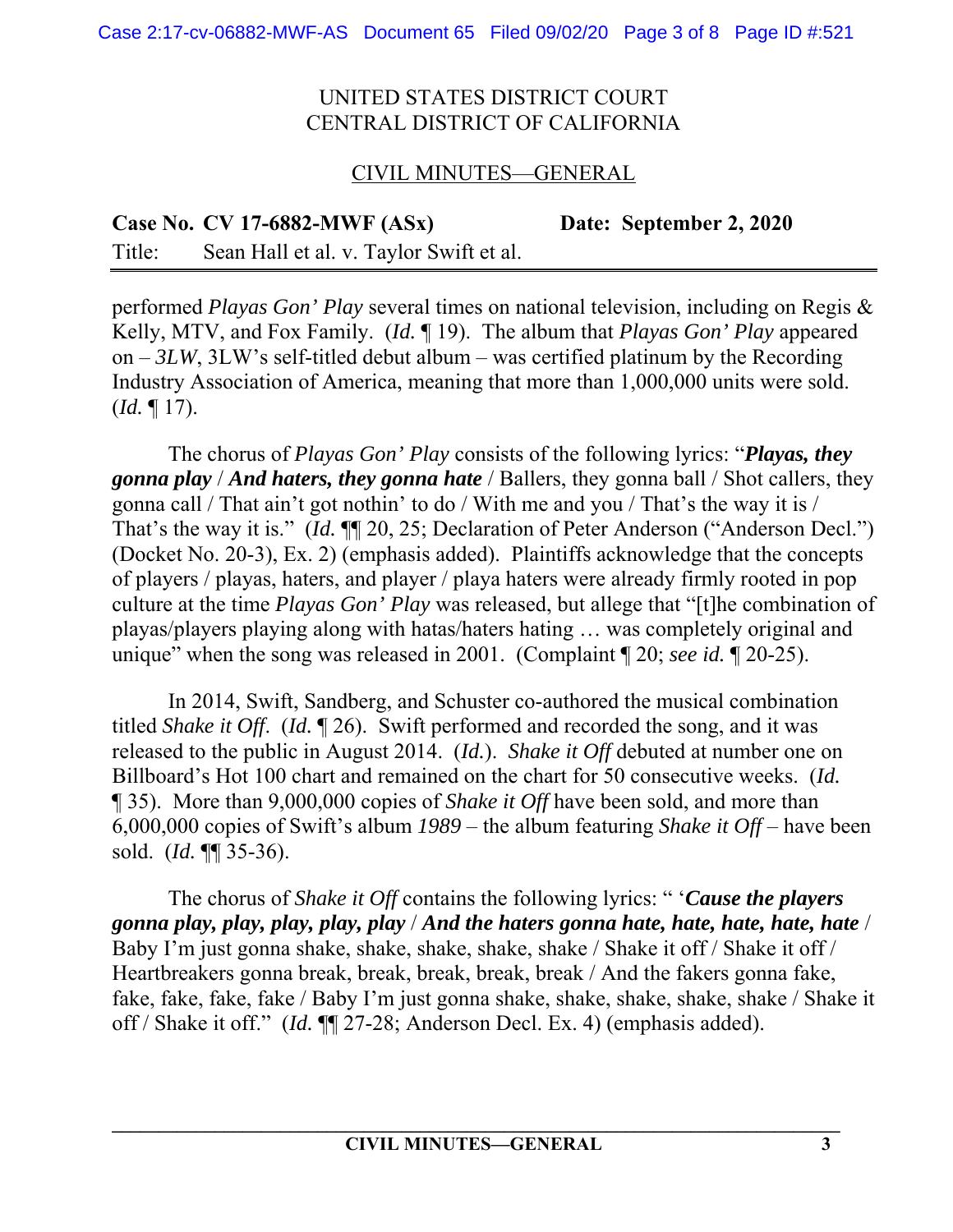# CIVIL MINUTES—GENERAL

**Case No. CV 17-6882-MWF (ASx) Date: September 2, 2020**  Title: Sean Hall et al. v. Taylor Swift et al.

performed *Playas Gon' Play* several times on national television, including on Regis & Kelly, MTV, and Fox Family. (*Id.* ¶ 19). The album that *Playas Gon' Play* appeared on  $-3LW$ ,  $3LW$ 's self-titled debut album – was certified platinum by the Recording Industry Association of America, meaning that more than 1,000,000 units were sold. (*Id.* ¶ 17).

The chorus of *Playas Gon' Play* consists of the following lyrics: "*Playas, they gonna play* / *And haters, they gonna hate* / Ballers, they gonna ball / Shot callers, they gonna call / That ain't got nothin' to do / With me and you / That's the way it is / That's the way it is." (*Id.* ¶¶ 20, 25; Declaration of Peter Anderson ("Anderson Decl.") (Docket No. 20-3), Ex. 2) (emphasis added). Plaintiffs acknowledge that the concepts of players / playas, haters, and player / playa haters were already firmly rooted in pop culture at the time *Playas Gon' Play* was released, but allege that "[t]he combination of playas/players playing along with hatas/haters hating … was completely original and unique" when the song was released in 2001. (Complaint ¶ 20; *see id.* ¶ 20-25).

In 2014, Swift, Sandberg, and Schuster co-authored the musical combination titled *Shake it Off*. (*Id.* ¶ 26). Swift performed and recorded the song, and it was released to the public in August 2014. (*Id.*). *Shake it Off* debuted at number one on Billboard's Hot 100 chart and remained on the chart for 50 consecutive weeks. (*Id.* ¶ 35). More than 9,000,000 copies of *Shake it Off* have been sold, and more than 6,000,000 copies of Swift's album *1989* – the album featuring *Shake it Off* – have been sold. (*Id.* ¶¶ 35-36).

The chorus of *Shake it Off* contains the following lyrics: " '*Cause the players gonna play, play, play, play, play* / *And the haters gonna hate, hate, hate, hate, hate* / Baby I'm just gonna shake, shake, shake, shake, shake / Shake it off / Shake it off / Heartbreakers gonna break, break, break, break, break / And the fakers gonna fake, fake, fake, fake, fake / Baby I'm just gonna shake, shake, shake, shake, shake / Shake it off / Shake it off." (*Id.* ¶¶ 27-28; Anderson Decl. Ex. 4) (emphasis added).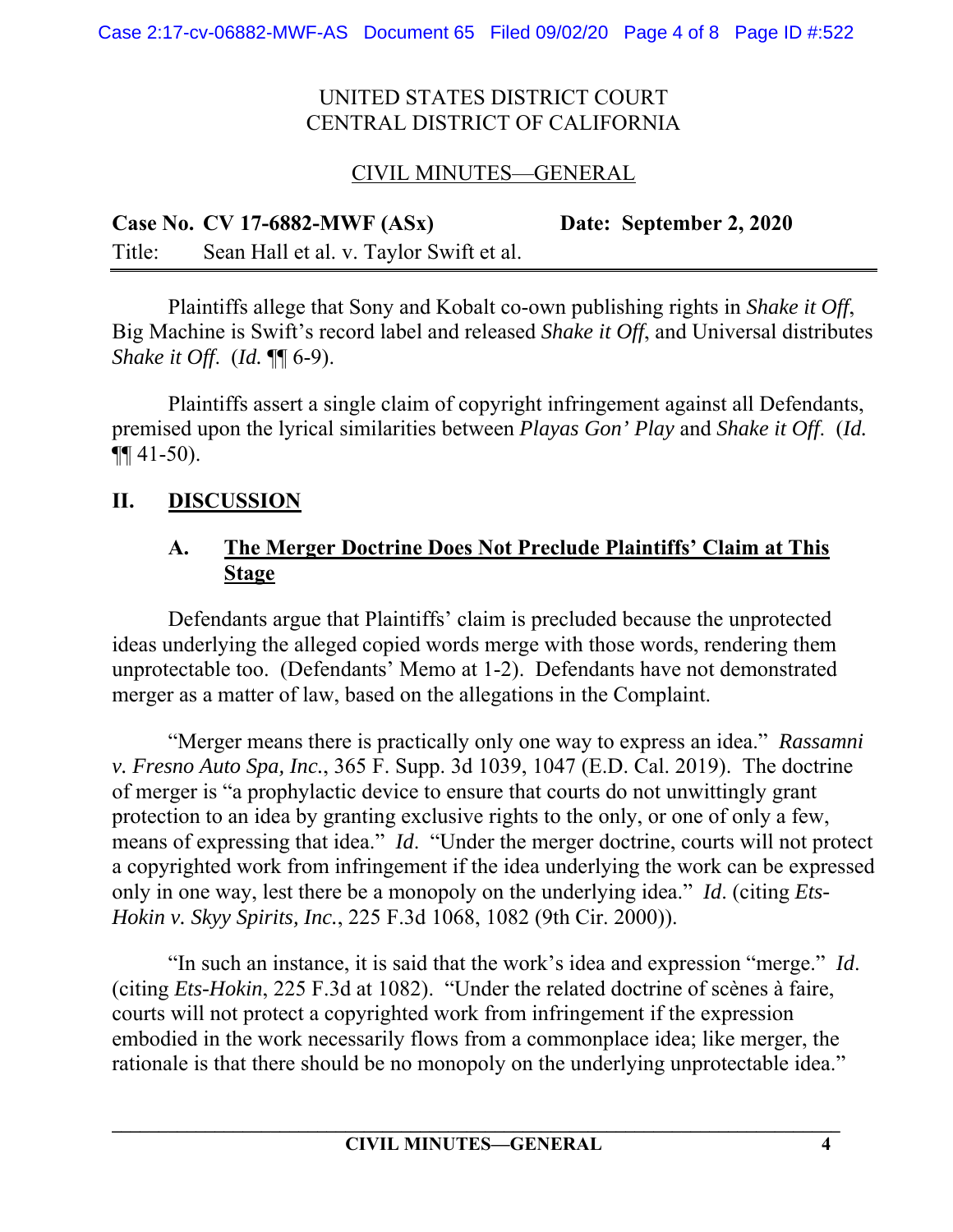### CIVIL MINUTES—GENERAL

|        | Case No. CV 17-6882-MWF (ASx)           | Date: September 2, 2020 |
|--------|-----------------------------------------|-------------------------|
| Title: | Sean Hall et al. v. Taylor Swift et al. |                         |

Plaintiffs allege that Sony and Kobalt co-own publishing rights in *Shake it Off*, Big Machine is Swift's record label and released *Shake it Off*, and Universal distributes *Shake it Off*. (*Id.* ¶¶ 6-9).

Plaintiffs assert a single claim of copyright infringement against all Defendants, premised upon the lyrical similarities between *Playas Gon' Play* and *Shake it Off*. (*Id.*  $\P\P$  41-50).

#### **II. DISCUSSION**

#### **A. The Merger Doctrine Does Not Preclude Plaintiffs' Claim at This Stage**

Defendants argue that Plaintiffs' claim is precluded because the unprotected ideas underlying the alleged copied words merge with those words, rendering them unprotectable too. (Defendants' Memo at 1-2). Defendants have not demonstrated merger as a matter of law, based on the allegations in the Complaint.

"Merger means there is practically only one way to express an idea." *Rassamni v. Fresno Auto Spa, Inc.*, 365 F. Supp. 3d 1039, 1047 (E.D. Cal. 2019). The doctrine of merger is "a prophylactic device to ensure that courts do not unwittingly grant protection to an idea by granting exclusive rights to the only, or one of only a few, means of expressing that idea." *Id*. "Under the merger doctrine, courts will not protect a copyrighted work from infringement if the idea underlying the work can be expressed only in one way, lest there be a monopoly on the underlying idea." *Id*. (citing *Ets-Hokin v. Skyy Spirits, Inc.*, 225 F.3d 1068, 1082 (9th Cir. 2000)).

"In such an instance, it is said that the work's idea and expression "merge." *Id*. (citing *Ets-Hokin*, 225 F.3d at 1082). "Under the related doctrine of scènes à faire, courts will not protect a copyrighted work from infringement if the expression embodied in the work necessarily flows from a commonplace idea; like merger, the rationale is that there should be no monopoly on the underlying unprotectable idea."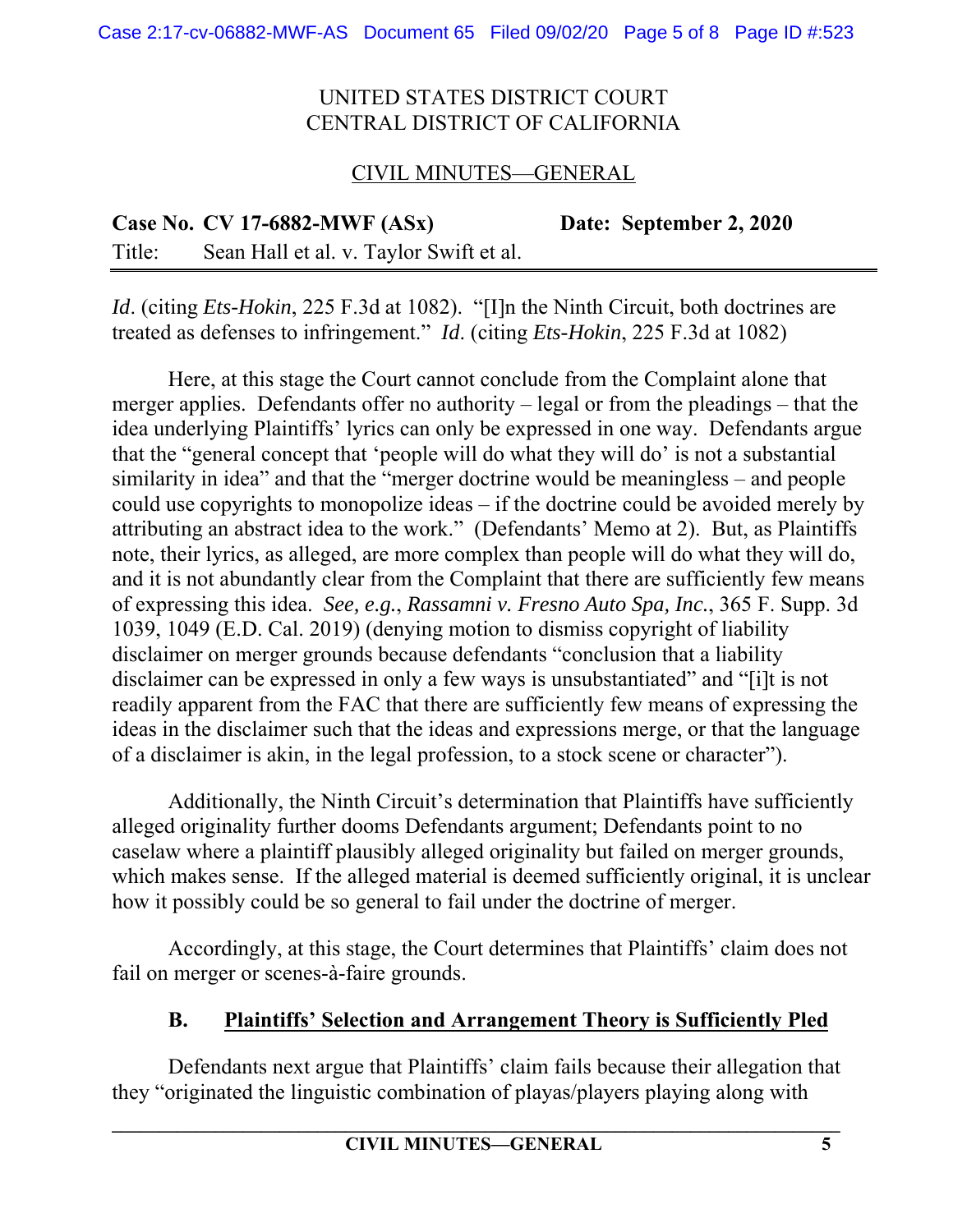# CIVIL MINUTES—GENERAL

**Case No. CV 17-6882-MWF (ASx) Date: September 2, 2020**  Title: Sean Hall et al. v. Taylor Swift et al.

*Id.* (citing *Ets-Hokin*, 225 F.3d at 1082). "[I]n the Ninth Circuit, both doctrines are treated as defenses to infringement." *Id*. (citing *Ets-Hokin*, 225 F.3d at 1082)

Here, at this stage the Court cannot conclude from the Complaint alone that merger applies. Defendants offer no authority – legal or from the pleadings – that the idea underlying Plaintiffs' lyrics can only be expressed in one way. Defendants argue that the "general concept that 'people will do what they will do' is not a substantial similarity in idea" and that the "merger doctrine would be meaningless – and people could use copyrights to monopolize ideas – if the doctrine could be avoided merely by attributing an abstract idea to the work." (Defendants' Memo at 2). But, as Plaintiffs note, their lyrics, as alleged, are more complex than people will do what they will do, and it is not abundantly clear from the Complaint that there are sufficiently few means of expressing this idea. *See, e.g.*, *Rassamni v. Fresno Auto Spa, Inc.*, 365 F. Supp. 3d 1039, 1049 (E.D. Cal. 2019) (denying motion to dismiss copyright of liability disclaimer on merger grounds because defendants "conclusion that a liability disclaimer can be expressed in only a few ways is unsubstantiated" and "[i]t is not readily apparent from the FAC that there are sufficiently few means of expressing the ideas in the disclaimer such that the ideas and expressions merge, or that the language of a disclaimer is akin, in the legal profession, to a stock scene or character").

Additionally, the Ninth Circuit's determination that Plaintiffs have sufficiently alleged originality further dooms Defendants argument; Defendants point to no caselaw where a plaintiff plausibly alleged originality but failed on merger grounds, which makes sense. If the alleged material is deemed sufficiently original, it is unclear how it possibly could be so general to fail under the doctrine of merger.

Accordingly, at this stage, the Court determines that Plaintiffs' claim does not fail on merger or scenes-à-faire grounds.

# **B. Plaintiffs' Selection and Arrangement Theory is Sufficiently Pled**

 Defendants next argue that Plaintiffs' claim fails because their allegation that they "originated the linguistic combination of playas/players playing along with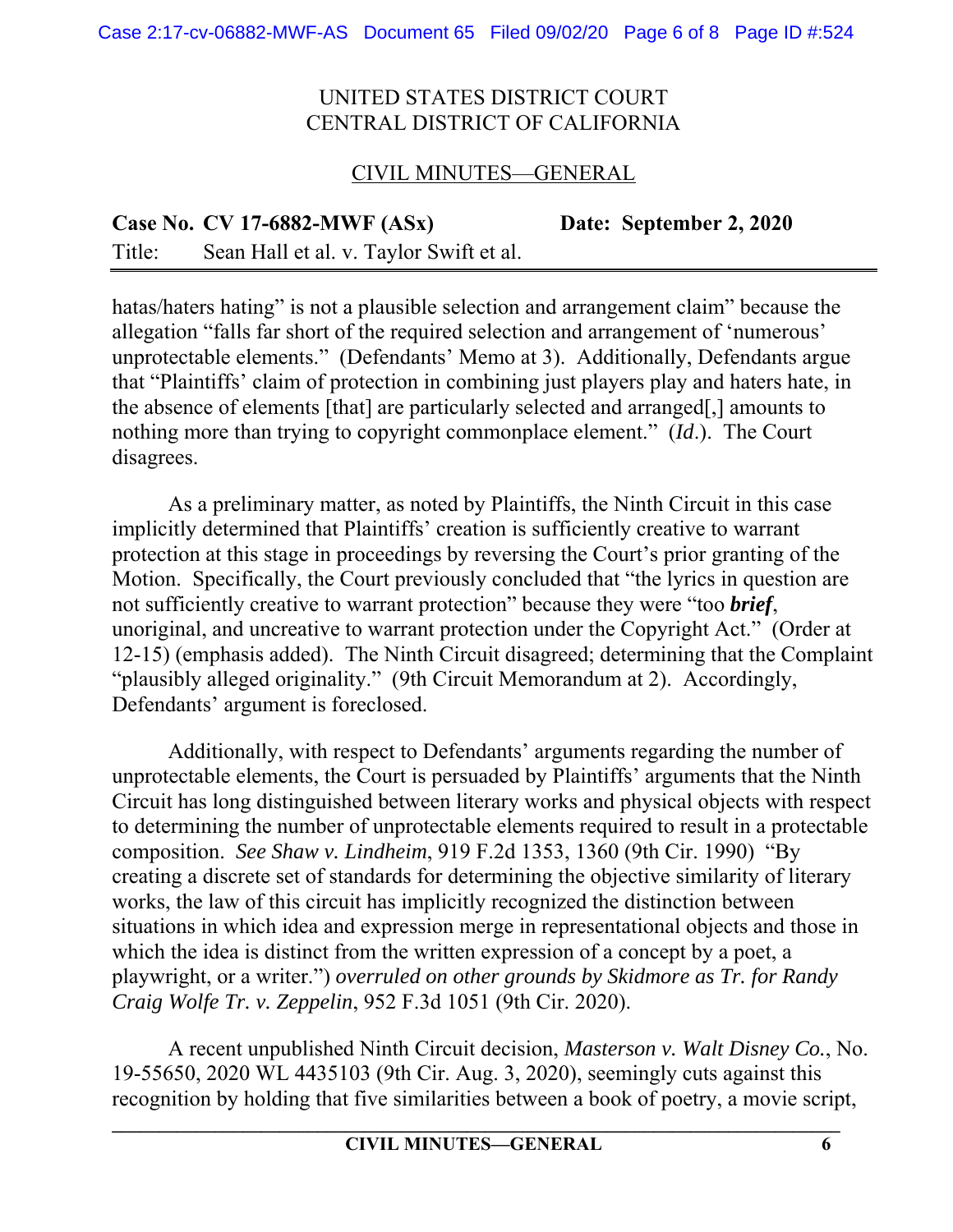# CIVIL MINUTES—GENERAL

|        | Case No. CV 17-6882-MWF (ASx)           | Date: September 2, 2020 |
|--------|-----------------------------------------|-------------------------|
| Title: | Sean Hall et al. v. Taylor Swift et al. |                         |

hatas/haters hating" is not a plausible selection and arrangement claim" because the allegation "falls far short of the required selection and arrangement of 'numerous' unprotectable elements." (Defendants' Memo at 3). Additionally, Defendants argue that "Plaintiffs' claim of protection in combining just players play and haters hate, in the absence of elements [that] are particularly selected and arranged[,] amounts to nothing more than trying to copyright commonplace element." (*Id*.). The Court disagrees.

 As a preliminary matter, as noted by Plaintiffs, the Ninth Circuit in this case implicitly determined that Plaintiffs' creation is sufficiently creative to warrant protection at this stage in proceedings by reversing the Court's prior granting of the Motion. Specifically, the Court previously concluded that "the lyrics in question are not sufficiently creative to warrant protection" because they were "too *brief*, unoriginal, and uncreative to warrant protection under the Copyright Act." (Order at 12-15) (emphasis added). The Ninth Circuit disagreed; determining that the Complaint "plausibly alleged originality." (9th Circuit Memorandum at 2). Accordingly, Defendants' argument is foreclosed.

Additionally, with respect to Defendants' arguments regarding the number of unprotectable elements, the Court is persuaded by Plaintiffs' arguments that the Ninth Circuit has long distinguished between literary works and physical objects with respect to determining the number of unprotectable elements required to result in a protectable composition. *See Shaw v. Lindheim*, 919 F.2d 1353, 1360 (9th Cir. 1990) "By creating a discrete set of standards for determining the objective similarity of literary works, the law of this circuit has implicitly recognized the distinction between situations in which idea and expression merge in representational objects and those in which the idea is distinct from the written expression of a concept by a poet, a playwright, or a writer.") *overruled on other grounds by Skidmore as Tr. for Randy Craig Wolfe Tr. v. Zeppelin*, 952 F.3d 1051 (9th Cir. 2020).

A recent unpublished Ninth Circuit decision, *Masterson v. Walt Disney Co.*, No. 19-55650, 2020 WL 4435103 (9th Cir. Aug. 3, 2020), seemingly cuts against this recognition by holding that five similarities between a book of poetry, a movie script,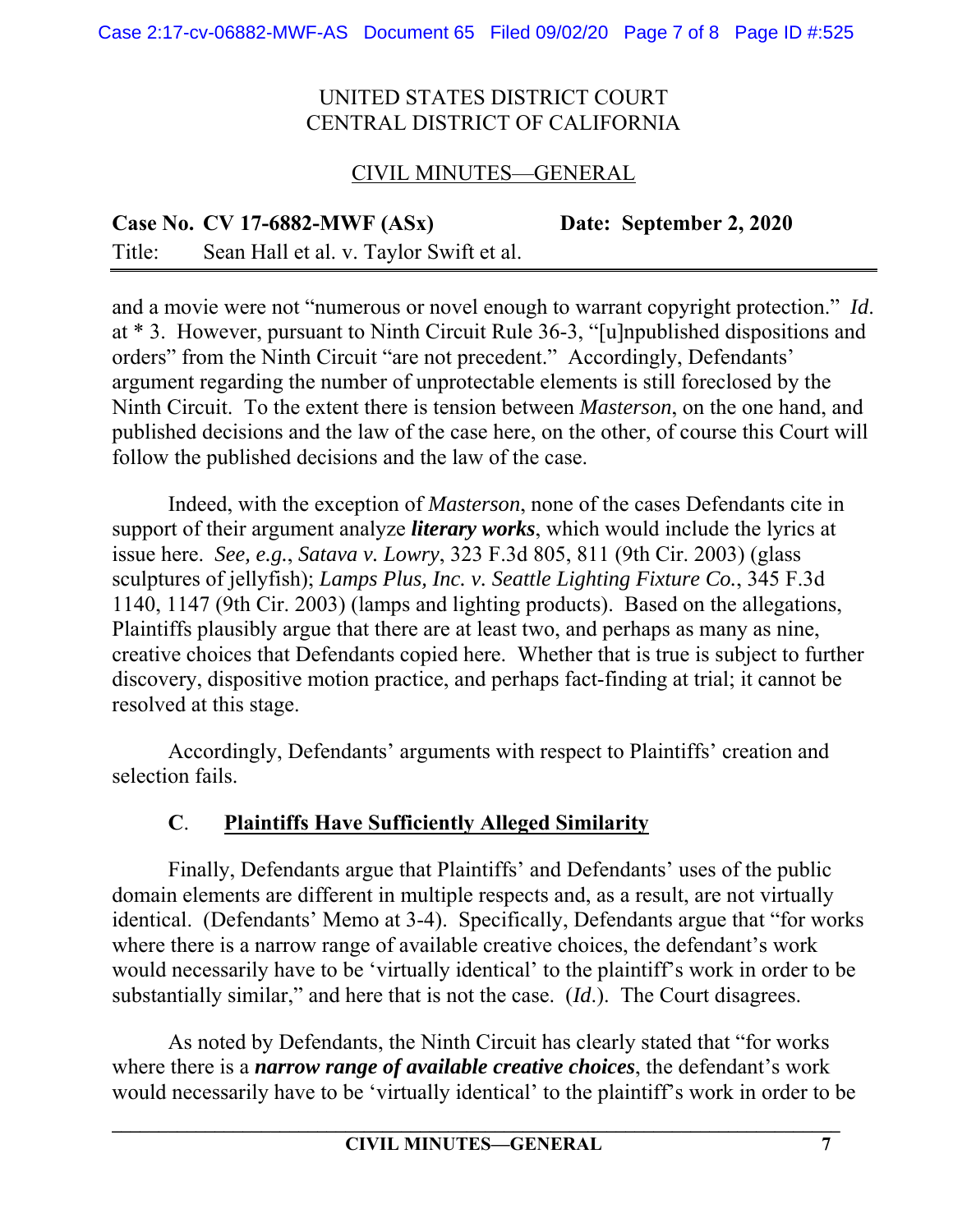### CIVIL MINUTES—GENERAL

|        | Case No. CV 17-6882-MWF (ASx)           | Date: September 2, 2020 |
|--------|-----------------------------------------|-------------------------|
| Title: | Sean Hall et al. v. Taylor Swift et al. |                         |

and a movie were not "numerous or novel enough to warrant copyright protection." *Id*. at \* 3. However, pursuant to Ninth Circuit Rule 36-3, "[u]npublished dispositions and orders" from the Ninth Circuit "are not precedent." Accordingly, Defendants' argument regarding the number of unprotectable elements is still foreclosed by the Ninth Circuit. To the extent there is tension between *Masterson*, on the one hand, and published decisions and the law of the case here, on the other, of course this Court will follow the published decisions and the law of the case.

 Indeed, with the exception of *Masterson*, none of the cases Defendants cite in support of their argument analyze *literary works*, which would include the lyrics at issue here. *See, e.g.*, *Satava v. Lowry*, 323 F.3d 805, 811 (9th Cir. 2003) (glass sculptures of jellyfish); *Lamps Plus, Inc. v. Seattle Lighting Fixture Co.*, 345 F.3d 1140, 1147 (9th Cir. 2003) (lamps and lighting products). Based on the allegations, Plaintiffs plausibly argue that there are at least two, and perhaps as many as nine, creative choices that Defendants copied here. Whether that is true is subject to further discovery, dispositive motion practice, and perhaps fact-finding at trial; it cannot be resolved at this stage.

 Accordingly, Defendants' arguments with respect to Plaintiffs' creation and selection fails.

# **C**. **Plaintiffs Have Sufficiently Alleged Similarity**

 Finally, Defendants argue that Plaintiffs' and Defendants' uses of the public domain elements are different in multiple respects and, as a result, are not virtually identical. (Defendants' Memo at 3-4). Specifically, Defendants argue that "for works where there is a narrow range of available creative choices, the defendant's work would necessarily have to be 'virtually identical' to the plaintiff's work in order to be substantially similar," and here that is not the case. (*Id*.). The Court disagrees.

 As noted by Defendants, the Ninth Circuit has clearly stated that "for works where there is a *narrow range of available creative choices*, the defendant's work would necessarily have to be 'virtually identical' to the plaintiff's work in order to be